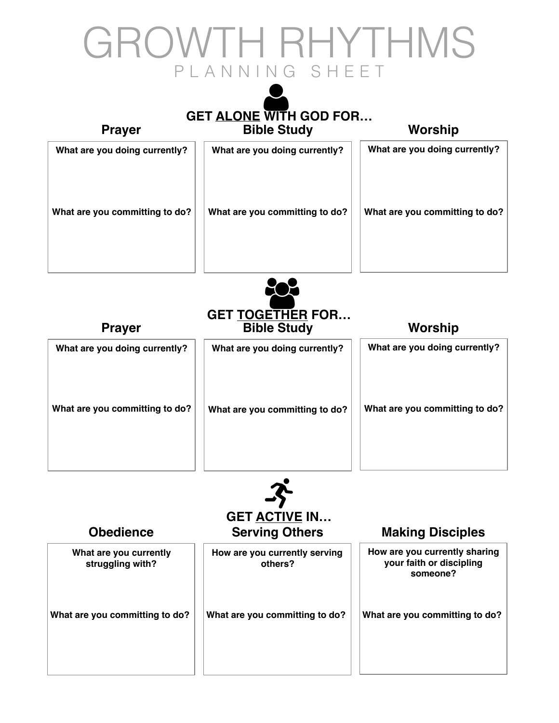## GROWTH RHYTHMS PLANNING SHEET

## **GET ALONE WITH GOD FOR… Prayer Bible Study Worship** What are you doing currently? | | What are you doing currently? | | What are you doing currently? What are you committing to do? | | What are you committing to do? | | What are you committing to do?



| What are you doing currently?  | What are you doing currently?  | What are you doing currently?  |
|--------------------------------|--------------------------------|--------------------------------|
| What are you committing to do? | What are you committing to do? | What are you committing to do? |
|                                |                                |                                |



| <b>Obedience</b>                           | GET ACTIVE IN<br><b>Serving Others</b>   | <b>Making Disciples</b>                                               |
|--------------------------------------------|------------------------------------------|-----------------------------------------------------------------------|
| What are you currently<br>struggling with? | How are you currently serving<br>others? | How are you currently sharing<br>your faith or discipling<br>someone? |
| What are you committing to do?             | What are you committing to do?           | What are you committing to do?                                        |
|                                            |                                          |                                                                       |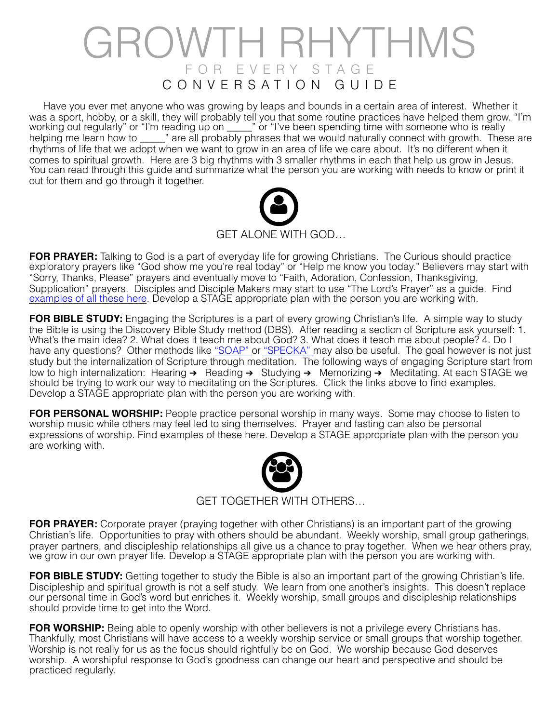## GROWTH RHYTHMS FOR EVERY STAGE CONVERSATION GUIDE

 Have you ever met anyone who was growing by leaps and bounds in a certain area of interest. Whether it was a sport, hobby, or a skill, they will probably tell you that some routine practices have helped them grow. "I'm working out regularly" or "I'm reading up on \_\_\_\_\_" or "I've been spending time with someone who is really helping me learn how to \_\_\_\_\_" are all probably phrases that we would naturally connect with growth. These are rhythms of life that we adopt when we want to grow in an area of life we care about. It's no different when it comes to spiritual growth. Here are 3 big rhythms with 3 smaller rhythms in each that help us grow in Jesus. You can read through this guide and summarize what the person you are working with needs to know or print it out for them and go through it together.



**FOR PRAYER:** Talking to God is a part of everyday life for growing Christians. The Curious should practice exploratory prayers like "God show me you're real today" or "Help me know you today." Believers may start with "Sorry, Thanks, Please" prayers and eventually move to "Faith, Adoration, Confession, Thanksgiving, Supplication" prayers. Disciples and Disciple Makers may start to use "The Lord's Prayer" as a guide. Find [examples of all these here.](https://drive.google.com/file/d/0B8hgBJhIYqJZMFFtWDF1Q2ZMLU0/view?usp=sharing) Develop a STAGE appropriate plan with the person you are working with.

**FOR BIBLE STUDY:** Engaging the Scriptures is a part of every growing Christian's life. A simple way to study the Bible is using the Discovery Bible Study method (DBS). After reading a section of Scripture ask yourself: 1. What's the main idea? 2. What does it teach me about God? 3. What does it teach me about people? 4. Do I have any questions? Other methods like ["SOAP" o](https://drive.google.com/file/d/0B8hgBJhIYqJZbVVOeHUxMlZ6NVE/view?usp=sharing)r ["SPECKA"](https://drive.google.com/file/d/0B8hgBJhIYqJZRG5PV2lrd0lqMWc/view?usp=sharing) may also be useful. The goal however is not just study but the internalization of Scripture through meditation. The following ways of engaging Scripture start from low to high internalization: Hearing ➔ Reading ➔ Studying ➔ Memorizing ➔ Meditating. At each STAGE we should be trying to work our way to meditating on the Scriptures. Click the links above to find examples. Develop a STAGE appropriate plan with the person you are working with.

**FOR PERSONAL WORSHIP:** People practice personal worship in many ways. Some may choose to listen to worship music while others may feel led to sing themselves. Prayer and fasting can also be personal expressions of worship. Find examples of these here. Develop a STAGE appropriate plan with the person you are working with.



GET TOGETHER WITH OTHERS…

**FOR PRAYER:** Corporate prayer (praying together with other Christians) is an important part of the growing Christian's life. Opportunities to pray with others should be abundant. Weekly worship, small group gatherings, prayer partners, and discipleship relationships all give us a chance to pray together. When we hear others pray, we grow in our own prayer life. Develop a STAGE appropriate plan with the person you are working with.

**FOR BIBLE STUDY:** Getting together to study the Bible is also an important part of the growing Christian's life. Discipleship and spiritual growth is not a self study. We learn from one another's insights. This doesn't replace our personal time in God's word but enriches it. Weekly worship, small groups and discipleship relationships should provide time to get into the Word.

**FOR WORSHIP:** Being able to openly worship with other believers is not a privilege every Christians has. Thankfully, most Christians will have access to a weekly worship service or small groups that worship together. Worship is not really for us as the focus should rightfully be on God. We worship because God deserves worship. A worshipful response to God's goodness can change our heart and perspective and should be practiced regularly.